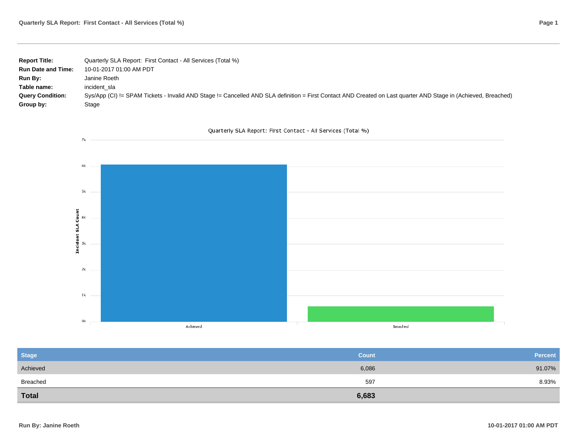| <b>Report Title:</b>      | Quarterly SLA Report: First Contact - All Services (Total %)                                                                                                   |
|---------------------------|----------------------------------------------------------------------------------------------------------------------------------------------------------------|
| <b>Run Date and Time:</b> | 10-01-2017 01:00 AM PDT                                                                                                                                        |
| Run By:                   | Janine Roeth                                                                                                                                                   |
| Table name:               | incident sla                                                                                                                                                   |
| <b>Query Condition:</b>   | Sys/App (CI) != SPAM Tickets - Invalid AND Stage != Cancelled AND SLA definition = First Contact AND Created on Last quarter AND Stage in (Achieved, Breached) |
| Group by:                 | Stage                                                                                                                                                          |

## Quarterly SLA Report: First Contact - All Services (Total %)



| <b>Stage</b> | <b>Count</b> | <b>Percent</b> |
|--------------|--------------|----------------|
| Achieved     | 6,086        | 91.07%         |
| Breached     | 597          | 8.93%          |
| <b>Total</b> | 6,683        |                |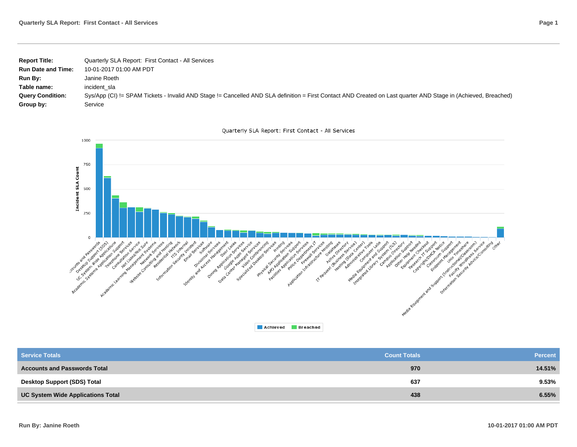| <b>Report Title:</b>      | Quarterly SLA Report: First Contact - All Services                                                                                                             |
|---------------------------|----------------------------------------------------------------------------------------------------------------------------------------------------------------|
| <b>Run Date and Time:</b> | 10-01-2017 01:00 AM PDT                                                                                                                                        |
| <b>Run By:</b>            | Janine Roeth                                                                                                                                                   |
| Table name:               | incident sla                                                                                                                                                   |
| <b>Query Condition:</b>   | Sys/App (CI) != SPAM Tickets - Invalid AND Stage != Cancelled AND SLA definition = First Contact AND Created on Last quarter AND Stage in (Achieved, Breached) |
| Group by:                 | Service                                                                                                                                                        |





| <b>Service Totals</b>               | <b>Count Totals</b> | <b>Percent</b> |
|-------------------------------------|---------------------|----------------|
| <b>Accounts and Passwords Total</b> | 970                 | 14.51%         |
| Desktop Support (SDS) Total         | 637                 | $9.53\%$       |
| UC System Wide Applications Total   | 438                 | 6.55%          |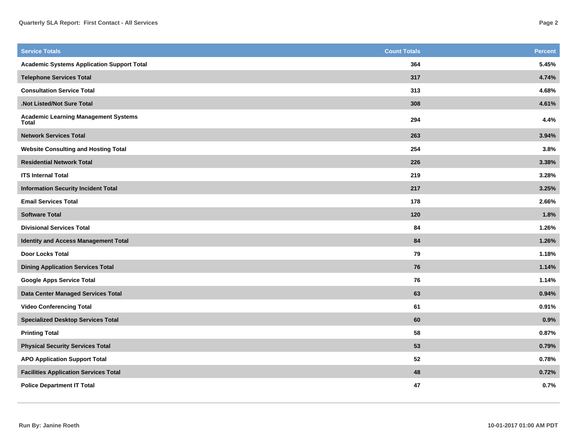| <b>Service Totals</b>                                | <b>Count Totals</b> | Percent |
|------------------------------------------------------|---------------------|---------|
| <b>Academic Systems Application Support Total</b>    | 364                 | 5.45%   |
| <b>Telephone Services Total</b>                      | 317                 | 4.74%   |
| <b>Consultation Service Total</b>                    | 313                 | 4.68%   |
| Not Listed/Not Sure Total                            | 308                 | 4.61%   |
| <b>Academic Learning Management Systems</b><br>Total | 294                 | 4.4%    |
| <b>Network Services Total</b>                        | 263                 | 3.94%   |
| <b>Website Consulting and Hosting Total</b>          | 254                 | 3.8%    |
| <b>Residential Network Total</b>                     | 226                 | 3.38%   |
| <b>ITS Internal Total</b>                            | 219                 | 3.28%   |
| <b>Information Security Incident Total</b>           | 217                 | 3.25%   |
| <b>Email Services Total</b>                          | 178                 | 2.66%   |
| <b>Software Total</b>                                | 120                 | 1.8%    |
| <b>Divisional Services Total</b>                     | 84                  | 1.26%   |
| <b>Identity and Access Management Total</b>          | 84                  | 1.26%   |
| <b>Door Locks Total</b>                              | 79                  | 1.18%   |
| <b>Dining Application Services Total</b>             | 76                  | 1.14%   |
| <b>Google Apps Service Total</b>                     | 76                  | 1.14%   |
| Data Center Managed Services Total                   | 63                  | 0.94%   |
| <b>Video Conferencing Total</b>                      | 61                  | 0.91%   |
| <b>Specialized Desktop Services Total</b>            | 60                  | 0.9%    |
| <b>Printing Total</b>                                | 58                  | 0.87%   |
| <b>Physical Security Services Total</b>              | 53                  | 0.79%   |
| <b>APO Application Support Total</b>                 | 52                  | 0.78%   |
| <b>Facilities Application Services Total</b>         | 48                  | 0.72%   |
| <b>Police Department IT Total</b>                    | 47                  | 0.7%    |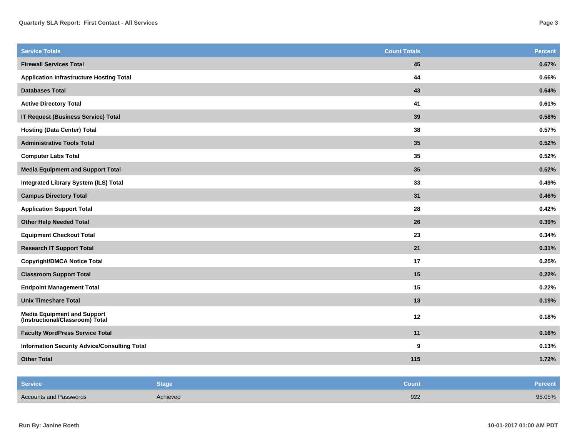| <b>Service Totals</b>                                                 | <b>Count Totals</b> | <b>Percent</b> |
|-----------------------------------------------------------------------|---------------------|----------------|
| <b>Firewall Services Total</b>                                        | 45                  | 0.67%          |
| <b>Application Infrastructure Hosting Total</b>                       | 44                  | 0.66%          |
| <b>Databases Total</b>                                                | 43                  | 0.64%          |
| <b>Active Directory Total</b>                                         | 41                  | 0.61%          |
| <b>IT Request (Business Service) Total</b>                            | 39                  | 0.58%          |
| <b>Hosting (Data Center) Total</b>                                    | 38                  | 0.57%          |
| <b>Administrative Tools Total</b>                                     | 35                  | 0.52%          |
| <b>Computer Labs Total</b>                                            | 35                  | 0.52%          |
| <b>Media Equipment and Support Total</b>                              | 35                  | 0.52%          |
| <b>Integrated Library System (ILS) Total</b>                          | 33                  | 0.49%          |
| <b>Campus Directory Total</b>                                         | 31                  | 0.46%          |
| <b>Application Support Total</b>                                      | 28                  | 0.42%          |
| <b>Other Help Needed Total</b>                                        | 26                  | 0.39%          |
| <b>Equipment Checkout Total</b>                                       | 23                  | 0.34%          |
| <b>Research IT Support Total</b>                                      | 21                  | 0.31%          |
| <b>Copyright/DMCA Notice Total</b>                                    | 17                  | 0.25%          |
| <b>Classroom Support Total</b>                                        | 15                  | 0.22%          |
| <b>Endpoint Management Total</b>                                      | 15                  | 0.22%          |
| <b>Unix Timeshare Total</b>                                           | 13                  | 0.19%          |
| <b>Media Equipment and Support</b><br>(Instructional/Classroom) Total | 12                  | 0.18%          |
| <b>Faculty WordPress Service Total</b>                                | 11                  | 0.16%          |
| <b>Information Security Advice/Consulting Total</b>                   | 9                   | 0.13%          |
| <b>Other Total</b>                                                    | 115                 | 1.72%          |

| Service                       | Stage    | <b>Count</b> | <b>Percent</b> |
|-------------------------------|----------|--------------|----------------|
| <b>Accounts and Passwords</b> | Achieved | 922          | 95.05%         |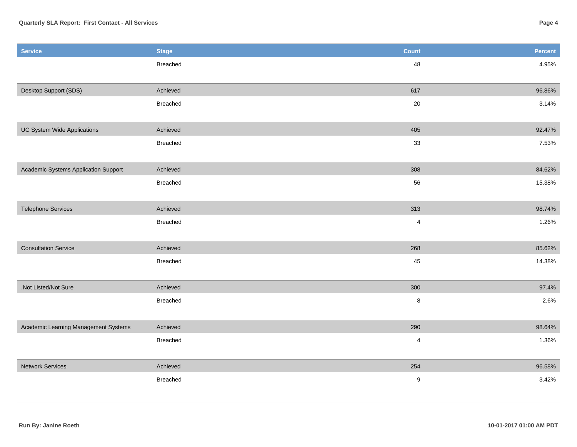| <b>Service</b>                       | <b>Stage</b>    | <b>Count</b>            | Percent |
|--------------------------------------|-----------------|-------------------------|---------|
|                                      | <b>Breached</b> | 48                      | 4.95%   |
|                                      |                 |                         |         |
| Desktop Support (SDS)                | Achieved        | 617                     | 96.86%  |
|                                      | <b>Breached</b> | $20\,$                  | 3.14%   |
|                                      |                 |                         |         |
| UC System Wide Applications          | Achieved        | 405                     | 92.47%  |
|                                      | Breached        | 33                      | 7.53%   |
|                                      |                 |                         |         |
| Academic Systems Application Support | Achieved        | 308                     | 84.62%  |
|                                      | <b>Breached</b> | 56                      | 15.38%  |
|                                      |                 |                         |         |
| <b>Telephone Services</b>            | Achieved        | 313                     | 98.74%  |
|                                      | <b>Breached</b> | $\overline{\mathbf{4}}$ | 1.26%   |
|                                      |                 |                         |         |
| <b>Consultation Service</b>          | Achieved        | 268                     | 85.62%  |
|                                      | Breached        | 45                      | 14.38%  |
|                                      |                 |                         |         |
| .Not Listed/Not Sure                 | Achieved        | 300                     | 97.4%   |
|                                      | <b>Breached</b> | $\bf 8$                 | 2.6%    |
|                                      |                 |                         |         |
| Academic Learning Management Systems | Achieved        | 290                     | 98.64%  |
|                                      | Breached        | 4                       | 1.36%   |
|                                      |                 |                         |         |
| <b>Network Services</b>              | Achieved        | 254                     | 96.58%  |
|                                      | <b>Breached</b> | $\boldsymbol{9}$        | 3.42%   |
|                                      |                 |                         |         |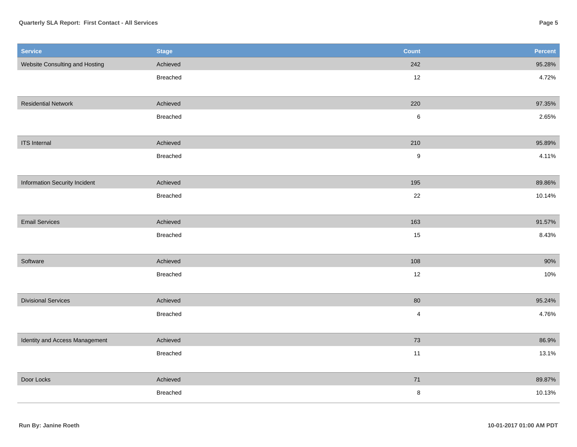## **Quarterly SLA Report: First Contact - All Services**

| <b>Service</b>                       | <b>Stage</b> | <b>Count</b>            | Percent |
|--------------------------------------|--------------|-------------------------|---------|
| Website Consulting and Hosting       | Achieved     | 242                     | 95.28%  |
|                                      | Breached     | 12                      | 4.72%   |
|                                      |              |                         |         |
| <b>Residential Network</b>           | Achieved     | 220                     | 97.35%  |
|                                      | Breached     | $\,6$                   | 2.65%   |
|                                      |              |                         |         |
| <b>ITS</b> Internal                  | Achieved     | 210                     | 95.89%  |
|                                      | Breached     | $\boldsymbol{9}$        | 4.11%   |
|                                      |              |                         |         |
| <b>Information Security Incident</b> | Achieved     | 195                     | 89.86%  |
|                                      | Breached     | 22                      | 10.14%  |
|                                      |              |                         |         |
| <b>Email Services</b>                | Achieved     | 163                     | 91.57%  |
|                                      | Breached     | 15                      | 8.43%   |
|                                      |              |                         |         |
| Software                             | Achieved     | 108                     | $90\%$  |
|                                      | Breached     | $12$                    | 10%     |
|                                      |              |                         |         |
| <b>Divisional Services</b>           | Achieved     | 80                      | 95.24%  |
|                                      | Breached     | $\overline{\mathbf{4}}$ | 4.76%   |
|                                      |              |                         |         |
| Identity and Access Management       | Achieved     | 73                      | 86.9%   |
|                                      | Breached     | 11                      | 13.1%   |
|                                      |              |                         |         |
| Door Locks                           | Achieved     | $71\,$                  | 89.87%  |
|                                      | Breached     | 8                       | 10.13%  |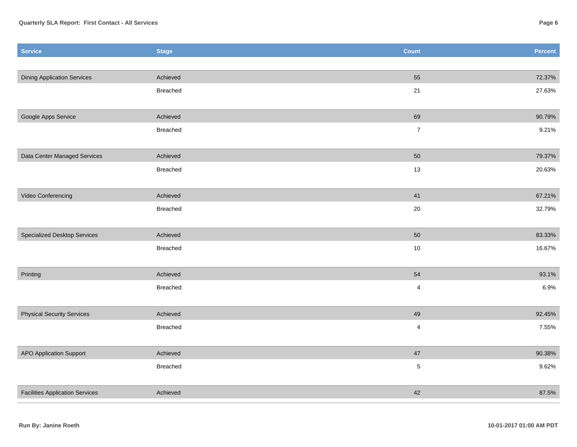| <b>Service</b>                         | <b>Stage</b>    | <b>Count</b>            | Percent |
|----------------------------------------|-----------------|-------------------------|---------|
|                                        |                 |                         |         |
| <b>Dining Application Services</b>     | Achieved        | 55                      | 72.37%  |
|                                        | Breached        | $21$                    | 27.63%  |
|                                        |                 |                         |         |
| Google Apps Service                    | Achieved        | 69                      | 90.79%  |
|                                        | Breached        | $\overline{7}$          | 9.21%   |
|                                        |                 |                         |         |
| Data Center Managed Services           | Achieved        | 50                      | 79.37%  |
|                                        | Breached        | 13                      | 20.63%  |
|                                        |                 |                         |         |
| Video Conferencing                     | Achieved        | 41                      | 67.21%  |
|                                        | Breached        | $20\,$                  | 32.79%  |
| Specialized Desktop Services           | Achieved        | 50                      | 83.33%  |
|                                        | <b>Breached</b> | 10                      |         |
|                                        |                 |                         | 16.67%  |
| Printing                               | Achieved        | 54                      | 93.1%   |
|                                        | Breached        | $\overline{\mathbf{4}}$ | 6.9%    |
|                                        |                 |                         |         |
| <b>Physical Security Services</b>      | Achieved        | 49                      | 92.45%  |
|                                        | Breached        | $\sqrt{4}$              | 7.55%   |
|                                        |                 |                         |         |
| <b>APO Application Support</b>         | Achieved        | 47                      | 90.38%  |
|                                        | Breached        | $\sqrt{5}$              | 9.62%   |
|                                        |                 |                         |         |
| <b>Facilities Application Services</b> | Achieved        | 42                      | 87.5%   |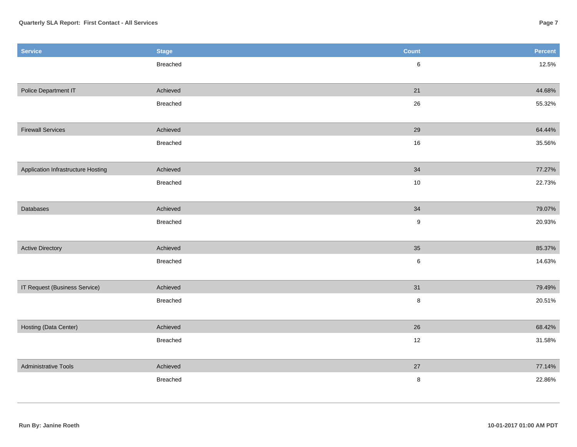| <b>Service</b>                     | <b>Stage</b>    | <b>Count</b>     | <b>Percent</b> |
|------------------------------------|-----------------|------------------|----------------|
|                                    | <b>Breached</b> | $\,6\,$          | 12.5%          |
|                                    |                 |                  |                |
| <b>Police Department IT</b>        | Achieved        | 21               | 44.68%         |
|                                    | Breached        | 26               | 55.32%         |
|                                    |                 |                  |                |
| <b>Firewall Services</b>           | Achieved        | 29               | 64.44%         |
|                                    | Breached        | 16               | 35.56%         |
|                                    |                 |                  |                |
| Application Infrastructure Hosting | Achieved        | 34               | 77.27%         |
|                                    | <b>Breached</b> | $10\,$           | 22.73%         |
|                                    |                 |                  |                |
| Databases                          | Achieved        | $34$             | 79.07%         |
|                                    | Breached        | $\boldsymbol{9}$ | 20.93%         |
|                                    |                 |                  |                |
| <b>Active Directory</b>            | Achieved        | 35               | 85.37%         |
|                                    | <b>Breached</b> | $\,6$            | 14.63%         |
|                                    |                 |                  |                |
| IT Request (Business Service)      | Achieved        | 31               | 79.49%         |
|                                    | Breached        | $\bf 8$          | 20.51%         |
|                                    |                 |                  |                |
| Hosting (Data Center)              | Achieved        | 26               | 68.42%         |
|                                    | Breached        | 12               | 31.58%         |
|                                    |                 |                  |                |
| <b>Administrative Tools</b>        | Achieved        | 27               | 77.14%         |
|                                    | Breached        | $\bf 8$          | 22.86%         |
|                                    |                 |                  |                |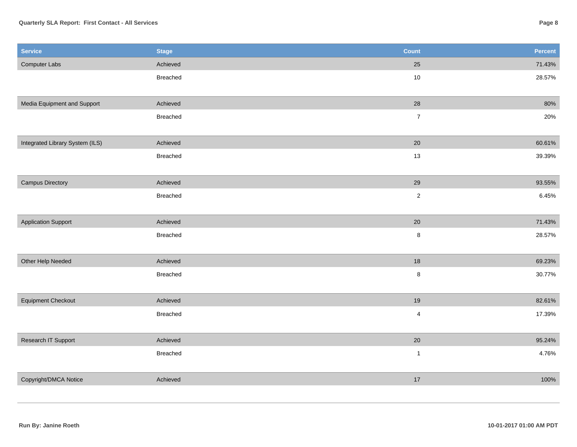## **Quarterly SLA Report: First Contact - All Services**

| <b>Service</b>                  | <b>Stage</b> | <b>Count</b>   | Percent |
|---------------------------------|--------------|----------------|---------|
| Computer Labs                   | Achieved     | 25             | 71.43%  |
|                                 | Breached     | $10\,$         | 28.57%  |
|                                 |              |                |         |
| Media Equipment and Support     | Achieved     | $28\,$         | 80%     |
|                                 | Breached     | $\overline{7}$ | 20%     |
|                                 |              |                |         |
| Integrated Library System (ILS) | Achieved     | 20             | 60.61%  |
|                                 | Breached     | 13             | 39.39%  |
|                                 |              |                |         |
| <b>Campus Directory</b>         | Achieved     | 29             | 93.55%  |
|                                 | Breached     | $\sqrt{2}$     | 6.45%   |
|                                 |              |                |         |
| <b>Application Support</b>      | Achieved     | $20\,$         | 71.43%  |
|                                 | Breached     | $\bf 8$        | 28.57%  |
|                                 |              |                |         |
| Other Help Needed               | Achieved     | $18$           | 69.23%  |
|                                 | Breached     | $\bf 8$        | 30.77%  |
|                                 |              |                |         |
| <b>Equipment Checkout</b>       | Achieved     | 19             | 82.61%  |
|                                 | Breached     | $\overline{4}$ | 17.39%  |
|                                 |              |                |         |
| Research IT Support             | Achieved     | $20\,$         | 95.24%  |
|                                 | Breached     | $\mathbf{1}$   | 4.76%   |
|                                 |              |                |         |
| Copyright/DMCA Notice           | Achieved     | $17$           | 100%    |
|                                 |              |                |         |